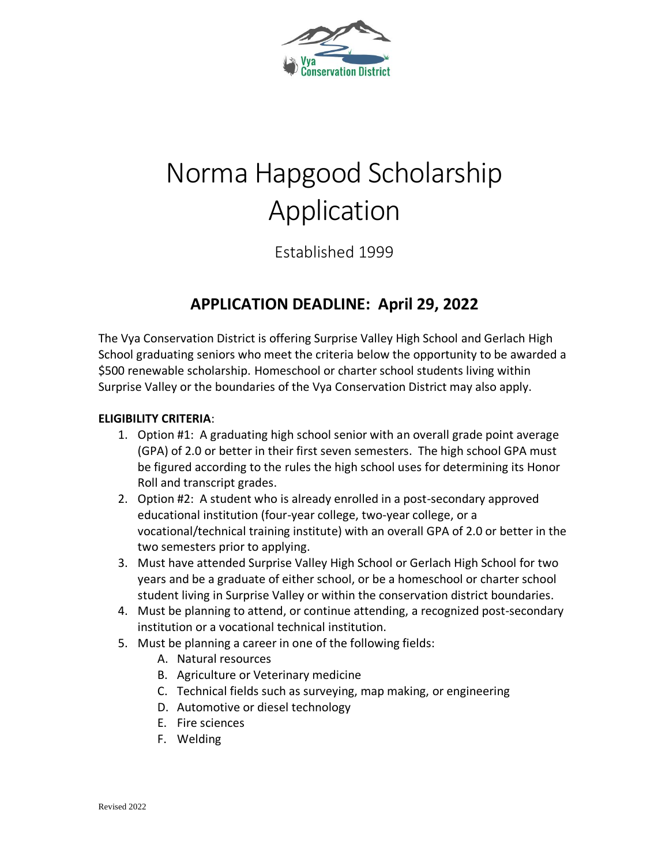

# Norma Hapgood Scholarship Application

Established 1999

### **APPLICATION DEADLINE: April 29, 2022**

The Vya Conservation District is offering Surprise Valley High School and Gerlach High School graduating seniors who meet the criteria below the opportunity to be awarded a \$500 renewable scholarship. Homeschool or charter school students living within Surprise Valley or the boundaries of the Vya Conservation District may also apply.

#### **ELIGIBILITY CRITERIA**:

- 1. Option #1: A graduating high school senior with an overall grade point average (GPA) of 2.0 or better in their first seven semesters. The high school GPA must be figured according to the rules the high school uses for determining its Honor Roll and transcript grades.
- 2. Option #2: A student who is already enrolled in a post-secondary approved educational institution (four-year college, two-year college, or a vocational/technical training institute) with an overall GPA of 2.0 or better in the two semesters prior to applying.
- 3. Must have attended Surprise Valley High School or Gerlach High School for two years and be a graduate of either school, or be a homeschool or charter school student living in Surprise Valley or within the conservation district boundaries.
- 4. Must be planning to attend, or continue attending, a recognized post-secondary institution or a vocational technical institution.
- 5. Must be planning a career in one of the following fields:
	- A. Natural resources
	- B. Agriculture or Veterinary medicine
	- C. Technical fields such as surveying, map making, or engineering
	- D. Automotive or diesel technology
	- E. Fire sciences
	- F. Welding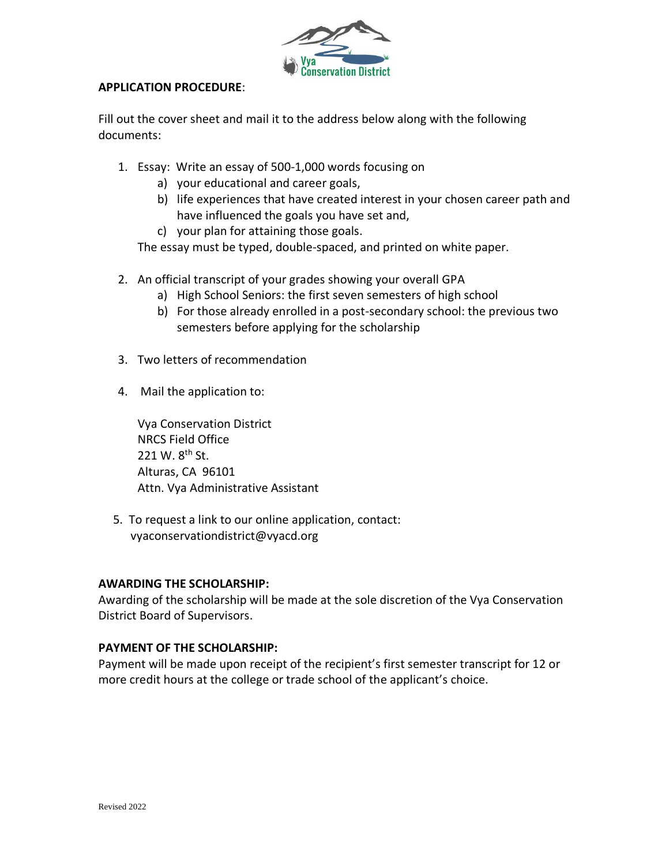

#### **APPLICATION PROCEDURE**:

Fill out the cover sheet and mail it to the address below along with the following documents:

- 1. Essay: Write an essay of 500-1,000 words focusing on
	- a) your educational and career goals,
	- b) life experiences that have created interest in your chosen career path and have influenced the goals you have set and,
	- c) your plan for attaining those goals.

The essay must be typed, double-spaced, and printed on white paper.

- 2. An official transcript of your grades showing your overall GPA
	- a) High School Seniors: the first seven semesters of high school
	- b) For those already enrolled in a post-secondary school: the previous two semesters before applying for the scholarship
- 3. Two letters of recommendation
- 4. Mail the application to:

Vya Conservation District NRCS Field Office 221 W. 8<sup>th</sup> St. Alturas, CA 96101 Attn. Vya Administrative Assistant

 5. To request a link to our online application, contact: vyaconservationdistrict@vyacd.org

#### **AWARDING THE SCHOLARSHIP:**

Awarding of the scholarship will be made at the sole discretion of the Vya Conservation District Board of Supervisors.

#### **PAYMENT OF THE SCHOLARSHIP:**

Payment will be made upon receipt of the recipient's first semester transcript for 12 or more credit hours at the college or trade school of the applicant's choice.